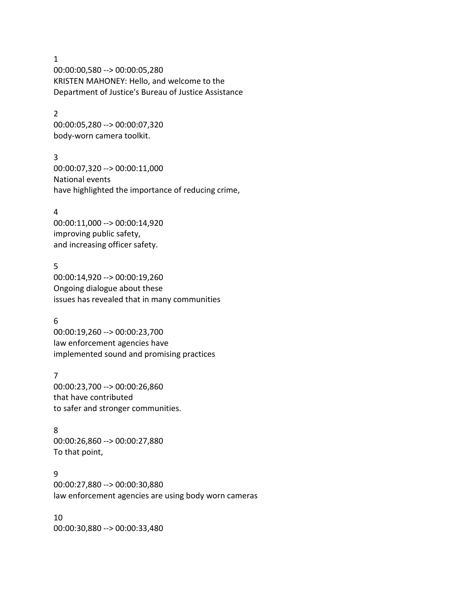1

00:00:00,580 --> 00:00:05,280 KRISTEN MAHONEY: Hello, and welcome to the Department of Justice's Bureau of Justice Assistance

#### 2

00:00:05,280 --> 00:00:07,320 body-worn camera toolkit.

### 3

00:00:07,320 --> 00:00:11,000 National events have highlighted the importance of reducing crime,

### 4

00:00:11,000 --> 00:00:14,920 improving public safety, and increasing officer safety.

### 5

00:00:14,920 --> 00:00:19,260 Ongoing dialogue about these issues has revealed that in many communities

# 6

00:00:19,260 --> 00:00:23,700 law enforcement agencies have implemented sound and promising practices

### 7

00:00:23,700 --> 00:00:26,860 that have contributed to safer and stronger communities.

# 8

00:00:26,860 --> 00:00:27,880 To that point,

#### 9

00:00:27,880 --> 00:00:30,880 law enforcement agencies are using body worn cameras

10 00:00:30,880 --> 00:00:33,480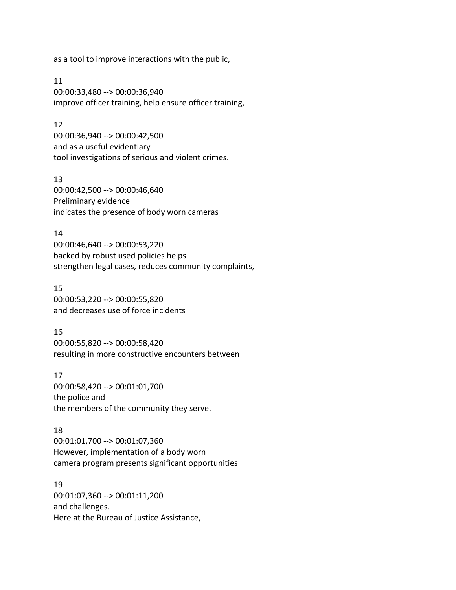as a tool to improve interactions with the public,

11 00:00:33,480 --> 00:00:36,940 improve officer training, help ensure officer training,

### 12

00:00:36,940 --> 00:00:42,500 and as a useful evidentiary tool investigations of serious and violent crimes.

13 00:00:42,500 --> 00:00:46,640 Preliminary evidence indicates the presence of body worn cameras

14

00:00:46,640 --> 00:00:53,220 backed by robust used policies helps strengthen legal cases, reduces community complaints,

15

00:00:53,220 --> 00:00:55,820 and decreases use of force incidents

16

00:00:55,820 --> 00:00:58,420 resulting in more constructive encounters between

17 00:00:58,420 --> 00:01:01,700 the police and the members of the community they serve.

18

00:01:01,700 --> 00:01:07,360 However, implementation of a body worn camera program presents significant opportunities

19 00:01:07,360 --> 00:01:11,200 and challenges. Here at the Bureau of Justice Assistance,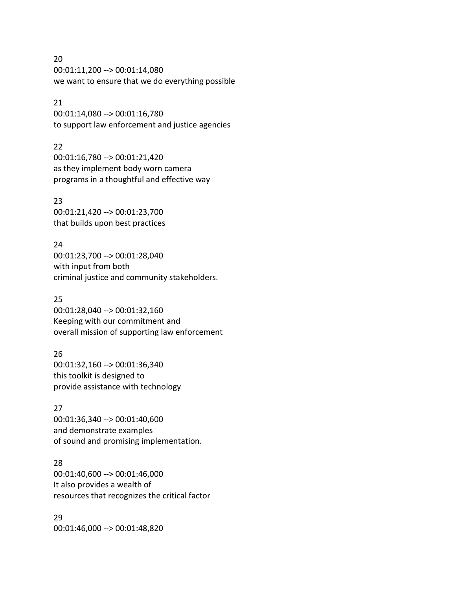20 00:01:11,200 --> 00:01:14,080 we want to ensure that we do everything possible

### 21

00:01:14,080 --> 00:01:16,780 to support law enforcement and justice agencies

### 22

00:01:16,780 --> 00:01:21,420 as they implement body worn camera programs in a thoughtful and effective way

### 23

00:01:21,420 --> 00:01:23,700 that builds upon best practices

### 24

00:01:23,700 --> 00:01:28,040 with input from both criminal justice and community stakeholders.

## 25

00:01:28,040 --> 00:01:32,160 Keeping with our commitment and overall mission of supporting law enforcement

# 26

00:01:32,160 --> 00:01:36,340 this toolkit is designed to provide assistance with technology

# 27

00:01:36,340 --> 00:01:40,600 and demonstrate examples of sound and promising implementation.

# 28

00:01:40,600 --> 00:01:46,000 It also provides a wealth of resources that recognizes the critical factor

29 00:01:46,000 --> 00:01:48,820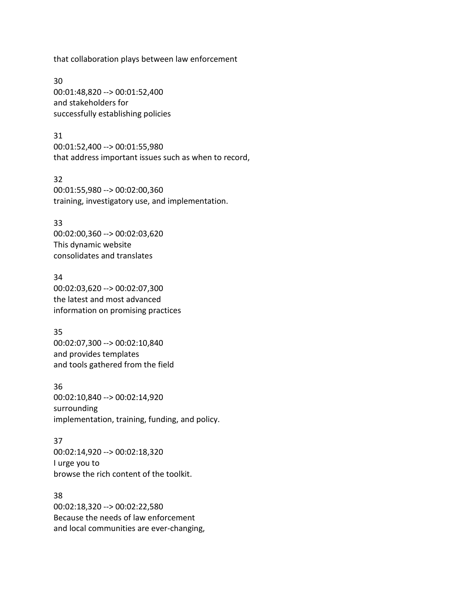that collaboration plays between law enforcement

30 00:01:48,820 --> 00:01:52,400 and stakeholders for successfully establishing policies

31 00:01:52,400 --> 00:01:55,980 that address important issues such as when to record,

32 00:01:55,980 --> 00:02:00,360 training, investigatory use, and implementation.

#### 33

00:02:00,360 --> 00:02:03,620 This dynamic website consolidates and translates

34 00:02:03,620 --> 00:02:07,300 the latest and most advanced information on promising practices

35 00:02:07,300 --> 00:02:10,840 and provides templates and tools gathered from the field

36 00:02:10,840 --> 00:02:14,920 surrounding implementation, training, funding, and policy.

37 00:02:14,920 --> 00:02:18,320 I urge you to browse the rich content of the toolkit.

### 38

00:02:18,320 --> 00:02:22,580 Because the needs of law enforcement and local communities are ever-changing,